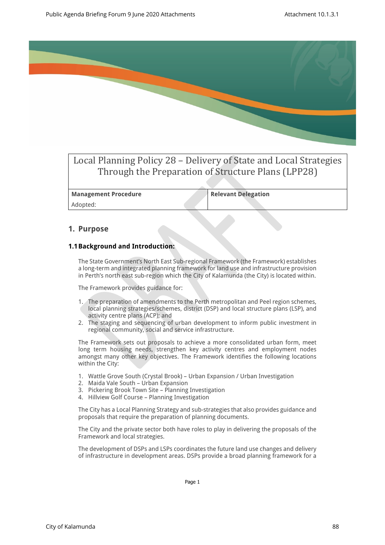

# Local Planning Policy 28 – Delivery of State and Local Strategies Through the Preparation of Structure Plans (LPP28)

**Management Procedure Relevant Delegation** Adopted:

### **1. Purpose**

#### **1.1Background and Introduction:**

The State Government's North East Sub-regional Framework (the Framework) establishes a long-term and integrated planning framework for land use and infrastructure provision in Perth's north east sub-region which the City of Kalamunda (the City) is located within.

The Framework provides guidance for:

- 1. The preparation of amendments to the Perth metropolitan and Peel region schemes, local planning strategies/schemes, district (DSP) and local structure plans (LSP), and activity centre plans (ACP); and
- 2. The staging and sequencing of urban development to inform public investment in regional community, social and service infrastructure.

The Framework sets out proposals to achieve a more consolidated urban form, meet long term housing needs, strengthen key activity centres and employment nodes amongst many other key objectives. The Framework identifies the following locations within the City:

- 1. Wattle Grove South (Crystal Brook) Urban Expansion / Urban Investigation
- 2. Maida Vale South Urban Expansion
- 3. Pickering Brook Town Site Planning Investigation
- 4. Hillview Golf Course Planning Investigation

The City has a Local Planning Strategy and sub-strategies that also provides guidance and proposals that require the preparation of planning documents.

The City and the private sector both have roles to play in delivering the proposals of the Framework and local strategies.

The development of DSPs and LSPs coordinates the future land use changes and delivery of infrastructure in development areas. DSPs provide a broad planning framework for a

Page 1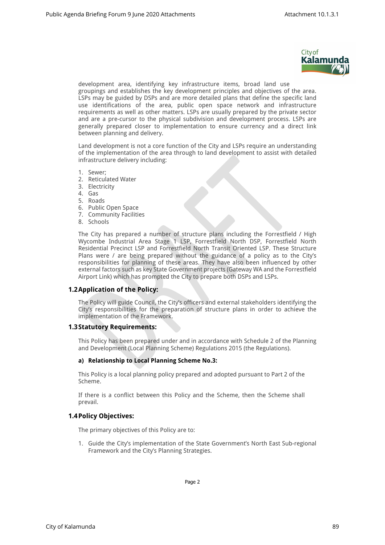

development area, identifying key infrastructure items, broad land use groupings and establishes the key development principles and objectives of the area. LSPs may be guided by DSPs and are more detailed plans that define the specific land use identifications of the area, public open space network and infrastructure requirements as well as other matters. LSPs are usually prepared by the private sector and are a pre-cursor to the physical subdivision and development process. LSPs are generally prepared closer to implementation to ensure currency and a direct link between planning and delivery.

Land development is not a core function of the City and LSPs require an understanding of the implementation of the area through to land development to assist with detailed infrastructure delivery including:

- 1. Sewer;
- 2. Reticulated Water
- 3. Electricity
- 4. Gas
- 5. Roads
- 6. Public Open Space
- 7. Community Facilities
- 8. Schools

The City has prepared a number of structure plans including the Forrestfield / High Wycombe Industrial Area Stage 1 LSP, Forrestfield North DSP, Forrestfield North Residential Precinct LSP and Forrestfield North Transit Oriented LSP. These Structure Plans were / are being prepared without the guidance of a policy as to the City's responsibilities for planning of these areas. They have also been influenced by other external factors such as key State Government projects (Gateway WA and the Forrestfield Airport Link) which has prompted the City to prepare both DSPs and LSPs.

#### **1.2Application of the Policy:**

The Policy will guide Council, the City's officers and external stakeholders identifying the City's responsibilities for the preparation of structure plans in order to achieve the implementation of the Framework.

#### **1.3Statutory Requirements:**

This Policy has been prepared under and in accordance with Schedule 2 of the Planning and Development (Local Planning Scheme) Regulations 2015 (the Regulations).

#### **a) Relationship to Local Planning Scheme No.3:**

This Policy is a local planning policy prepared and adopted pursuant to Part 2 of the Scheme.

If there is a conflict between this Policy and the Scheme, then the Scheme shall prevail.

#### **1.4Policy Objectives:**

The primary objectives of this Policy are to:

1. Guide the City's implementation of the State Government's North East Sub-regional Framework and the City's Planning Strategies.

Page 2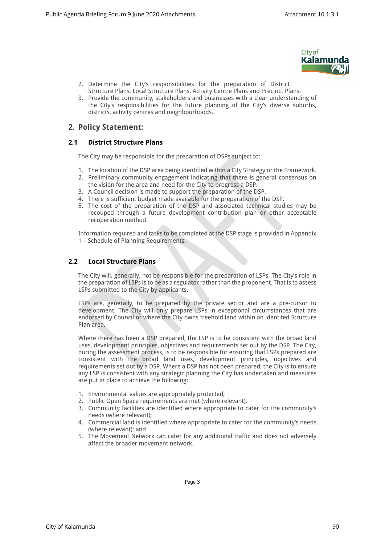

- 2. Determine the City's responsibilities for the preparation of District Structure Plans, Local Structure Plans, Activity Centre Plans and Precinct Plans.
- 3. Provide the community, stakeholders and businesses with a clear understanding of the City's responsibilities for the future planning of the City's diverse suburbs, districts, activity centres and neighbourhoods.

# **2. Policy Statement:**

### **2.1 District Structure Plans**

The City may be responsible for the preparation of DSPs subject to:

- 1. The location of the DSP area being identified within a City Strategy or the Framework.
- 2. Preliminary community engagement indicating that there is general consensus on the vision for the area and need for the City to progress a DSP.
- 3. A Council decision is made to support the preparation of the DSP.
- 4. There is sufficient budget made available for the preparation of the DSP.
- 5. The cost of the preparation of the DSP and associated technical studies may be recouped through a future development contribution plan or other acceptable recuperation method.

Information required and tasks to be completed at the DSP stage is provided in Appendix 1 – Schedule of Planning Requirements.

#### **2.2 Local Structure Plans**

The City will, generally, not be responsible for the preparation of LSPs. The City's role in the preparation of LSPs is to be as a regulator rather than the proponent. That is to assess LSPs submitted to the City by applicants.

LSPs are, generally, to be prepared by the private sector and are a pre-cursor to development. The City will only prepare LSPs in exceptional circumstances that are endorsed by Council or where the City owns freehold land within an identifed Structure Plan area.

Where there has been a DSP prepared, the LSP is to be consistent with the broad land uses, development principles, objectives and requirements set out by the DSP. The City, during the assessment process, is to be responsible for ensuring that LSPs prepared are consistent with the broad land uses, development principles, objectives and requirements set out by a DSP. Where a DSP has not been prepared, the City is to ensure any LSP is consistent with any strategic planning the City has undertaken and measures are put in place to achieve the following:

- 1. Environmental values are appropriately protected;
- 2. Public Open Space requirements are met (where relevant);
- 3. Community facilities are identified where appropriate to cater for the community's needs (where relevant);
- 4. Commercial land is identified where appropriate to cater for the community's needs (where relevant); and
- 5. The Movement Network can cater for any additional traffic and does not adversely affect the broader movement network.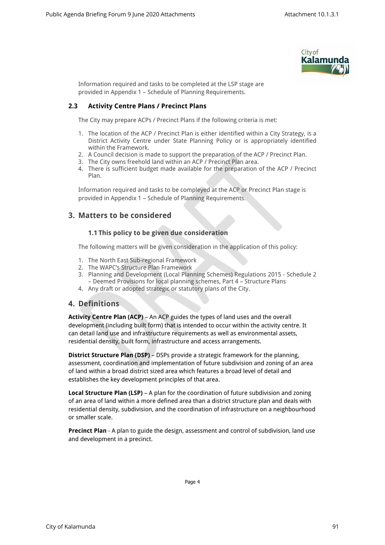

Information required and tasks to be completed at the LSP stage are provided in Appendix 1 – Schedule of Planning Requirements.

#### **2.3 Activity Centre Plans / Precinct Plans**

The City may prepare ACPs / Precinct Plans if the following criteria is met:

- 1. The location of the ACP / Precinct Plan is either identified within a City Strategy, is a District Activity Centre under State Planning Policy or is appropriately identified within the Framework.
- 2. A Council decision is made to support the preparation of the ACP / Precinct Plan.
- 3. The City owns freehold land within an ACP / Precinct Plan area.
- 4. There is sufficient budget made available for the preparation of the ACP / Precinct Plan.

Information required and tasks to be compleyed at the ACP or Precinct Plan stage is provided in Appendix 1 – Schedule of Planning Requirements.

# **3. Matters to be considered**

#### **1.1 This policy to be given due consideration**

The following matters will be given consideration in the application of this policy:

- 1. The North East Sub-regional Framework
- 2. The WAPC's Structure Plan Framework
- 3. Planning and Development (Local Planning Schemes) Regulations 2015 Schedule 2 – Deemed Provisions for local planning schemes, Part 4 – Structure Plans
- 4. Any draft or adopted strategic or statutory plans of the City.

## **4. Definitions**

**Activity Centre Plan (ACP)** – An ACP guides the types of land uses and the overall development (including built form) that is intended to occur within the activity centre. It can detail land use and infrastructure requirements as well as environmental assets, residential density, built form, infrastructure and access arrangements.

**District Structure Plan (DSP)** – DSPs provide a strategic framework for the planning, assessment, coordination and implementation of future subdivision and zoning of an area of land within a broad district sized area which features a broad level of detail and establishes the key development principles of that area.

**Local Structure Plan (LSP)** – A plan for the coordination of future subdivision and zoning of an area of land within a more defined area than a district structure plan and deals with residential density, subdivision, and the coordination of infrastructure on a neighbourhood or smaller scale.

**Precinct Plan** - A plan to guide the design, assessment and control of subdivision, land use and development in a precinct.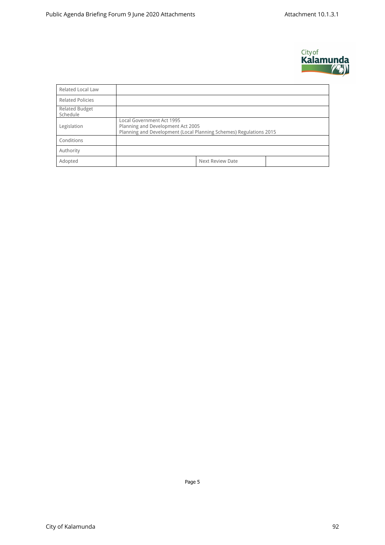

| <b>Related Local Law</b>          |                                                                                                                                      |  |  |  |  |  |
|-----------------------------------|--------------------------------------------------------------------------------------------------------------------------------------|--|--|--|--|--|
| <b>Related Policies</b>           |                                                                                                                                      |  |  |  |  |  |
| <b>Related Budget</b><br>Schedule |                                                                                                                                      |  |  |  |  |  |
| Legislation                       | Local Government Act 1995<br>Planning and Development Act 2005<br>Planning and Development (Local Planning Schemes) Regulations 2015 |  |  |  |  |  |
| Conditions                        |                                                                                                                                      |  |  |  |  |  |
| Authority                         |                                                                                                                                      |  |  |  |  |  |
| Adopted                           | <b>Next Review Date</b>                                                                                                              |  |  |  |  |  |

Page 5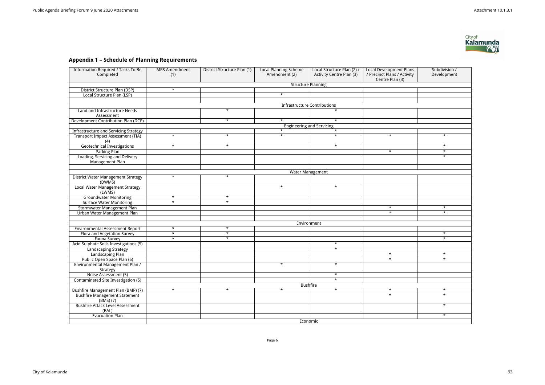# **Appendix 1 – Schedule of Planning Requirements**

| <b>Information Required / Tasks To Be</b>           | <b>MRS Amendment</b>                                      | District Structure Plan (1) | <b>Local Planning Scheme</b> | Local Structure Plan (2) / | <b>Local Development Plans</b> | Subdivision / |  |  |  |
|-----------------------------------------------------|-----------------------------------------------------------|-----------------------------|------------------------------|----------------------------|--------------------------------|---------------|--|--|--|
| Completed                                           | (1)                                                       |                             | Amendment (2)                | Activity Centre Plan (3)   | / Precinct Plans / Activity    | Development   |  |  |  |
|                                                     | Centre Plan (3)<br><b>Structure Planning</b>              |                             |                              |                            |                                |               |  |  |  |
| District Structure Plan (DSP)                       | $\star$                                                   |                             |                              |                            |                                |               |  |  |  |
| Local Structure Plan (LSP)                          |                                                           |                             | $\ast$                       |                            |                                |               |  |  |  |
|                                                     |                                                           |                             |                              |                            |                                |               |  |  |  |
|                                                     |                                                           |                             |                              |                            |                                |               |  |  |  |
| Land and Infrastructure Needs                       | <b>Infrastructure Contributions</b><br>$\star$<br>$\star$ |                             |                              |                            |                                |               |  |  |  |
| Assessment                                          |                                                           |                             |                              |                            |                                |               |  |  |  |
| Development Contribution Plan (DCP)                 |                                                           | $\star$                     | $\star$                      | $\star$                    |                                |               |  |  |  |
|                                                     |                                                           |                             |                              |                            |                                |               |  |  |  |
| <b>Infrastructure and Servicing Strategy</b>        | <b>Engineering and Servicing</b><br>$\star$<br>$\star$    |                             |                              |                            |                                |               |  |  |  |
| <b>Transport Impact Assessment (TIA)</b>            | $\star$                                                   | $\star$                     | $\star$                      | $\star$                    | $\star$                        | $\star$       |  |  |  |
| (4)                                                 |                                                           |                             |                              |                            |                                |               |  |  |  |
| <b>Geotechnical Investigations</b>                  | $\star$                                                   | $\star$                     |                              | $\star$                    |                                | $\star$       |  |  |  |
| <b>Parking Plan</b>                                 |                                                           |                             |                              |                            | $\star$                        | $\star$       |  |  |  |
| Loading, Servicing and Delivery<br>Management Plan  |                                                           |                             |                              |                            |                                | $\star$       |  |  |  |
|                                                     |                                                           |                             |                              |                            |                                |               |  |  |  |
|                                                     |                                                           |                             |                              | <b>Water Management</b>    |                                |               |  |  |  |
| <b>District Water Management Strategy</b><br>(DWMS) | $\star$                                                   | $\star$                     |                              |                            |                                |               |  |  |  |
| <b>Local Water Management Strategy</b><br>(LWMS)    |                                                           |                             | $\overline{\ast}$            | $\star$                    |                                |               |  |  |  |
| <b>Groundwater Monitoring</b>                       | $\star$                                                   | $\star$                     |                              |                            |                                |               |  |  |  |
| <b>Surface Water Monitoring</b>                     | $\star$                                                   | $\star$                     |                              |                            |                                |               |  |  |  |
| Stormwater Management Plan                          |                                                           |                             |                              |                            | $\star$                        | $\star$       |  |  |  |
| Urban Water Management Plan                         |                                                           |                             |                              |                            | $\overline{\ast}$              | $\star$       |  |  |  |
|                                                     |                                                           |                             |                              |                            |                                |               |  |  |  |
|                                                     |                                                           |                             |                              | Environment                |                                |               |  |  |  |
| <b>Environmental Assessment Report</b>              | $\star$                                                   | $\star$                     |                              |                            |                                |               |  |  |  |
| Flora and Vegetation Survey                         | $\star$                                                   | $\star$                     |                              |                            |                                | $\star$       |  |  |  |
| Fauna Survey                                        | $\star$                                                   | $\star$                     |                              |                            |                                | $\star$       |  |  |  |
| Acid Sulphate Soils Investigations (5)              |                                                           |                             |                              | $\star$                    |                                |               |  |  |  |
| Landscaping Strategy                                |                                                           |                             |                              | $\star$                    |                                |               |  |  |  |
| <b>Landscaping Plan</b>                             |                                                           |                             |                              |                            | $\star$                        | $\star$       |  |  |  |
| Public Open Space Plan (6)                          |                                                           |                             |                              |                            | $\overline{\ast}$              | $\star$       |  |  |  |
| Environmental Management Plan /                     |                                                           |                             | $\star$                      | $\star$                    |                                |               |  |  |  |
| Strategy                                            |                                                           |                             |                              |                            |                                |               |  |  |  |
| Noise Assessment (5)                                |                                                           |                             |                              | $\star$                    |                                |               |  |  |  |
| Contaminated Site Investigation (5)                 |                                                           |                             |                              | $\star$                    |                                |               |  |  |  |
|                                                     | <b>Bushfire</b>                                           |                             |                              |                            |                                |               |  |  |  |
| Bushfire Management Plan (BMP) (7)                  | $\star$                                                   | $\star$                     | $\star$                      | $\overline{\ast}$          | $\star$                        | $\star$       |  |  |  |
| <b>Bushfire Management Statement</b><br>$(BMS)$ (7) |                                                           |                             |                              |                            | $\star$                        | $\star$       |  |  |  |
| <b>Bushfire Attack Level Assessment</b>             |                                                           |                             |                              |                            |                                | $\star$       |  |  |  |
| (BAL)                                               |                                                           |                             |                              |                            |                                |               |  |  |  |
| <b>Evacuation Plan</b>                              |                                                           |                             |                              |                            |                                | $\star$       |  |  |  |
|                                                     | Economic                                                  |                             |                              |                            |                                |               |  |  |  |